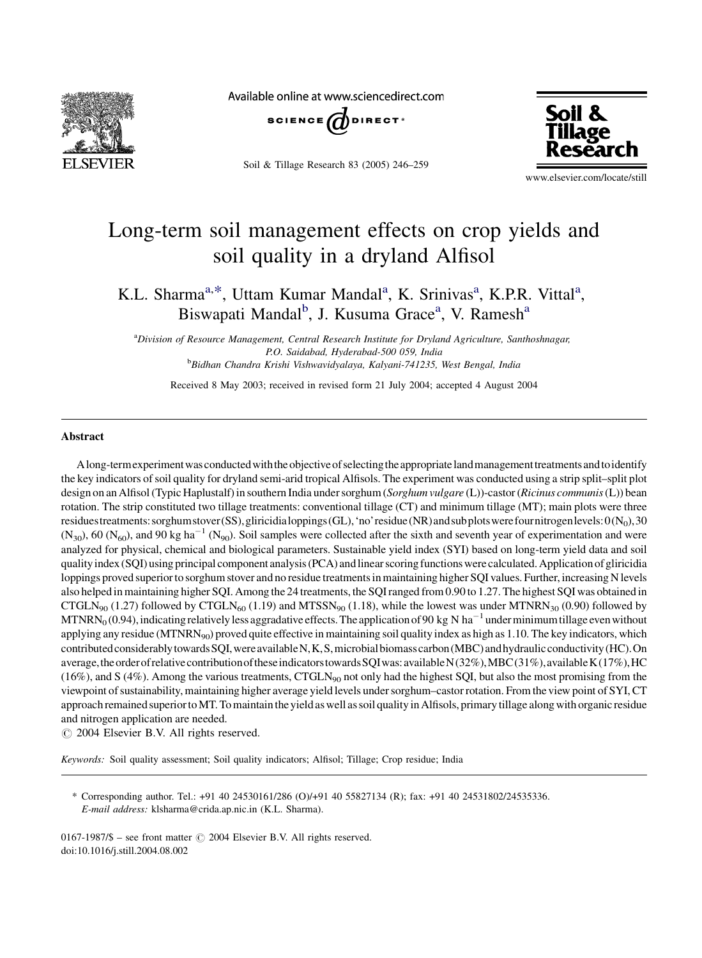

Available online at www.sciencedirect.com



Soil & Tillage Research 83 (2005) 246–259



www.elsevier.com/locate/still

## Long-term soil management effects on crop yields and soil quality in a dryland Alfisol

K.L. Sharma<sup>a,\*</sup>, Uttam Kumar Mandal<sup>a</sup>, K. Srinivas<sup>a</sup>, K.P.R. Vittal<sup>a</sup>, Biswapati Mandal<sup>b</sup>, J. Kusuma Grace<sup>a</sup>, V. Ramesh<sup>a</sup>

a<br>Division of Resource Management, Central Research Institute for Dryland Agriculture, Santhoshnagar, P.O. Saidabad, Hyderabad-500 059, India <sup>b</sup>Bidhan Chandra Krishi Vishwavidyalaya, Kalyani-741235, West Bengal, India

Received 8 May 2003; received in revised form 21 July 2004; accepted 4 August 2004

## Abstract

Along-termexperimentwasconductedwiththeobjectiveofselectingtheappropriatelandmanagementtreatmentsandtoidentify the key indicators of soil quality for dryland semi-arid tropical Alfisols. The experiment was conducted using a strip split–split plot design on an Alfisol (Typic Haplustalf) in southern India under sorghum (Sorghum vulgare (L))-castor (Ricinus communis (L)) bean rotation. The strip constituted two tillage treatments: conventional tillage (CT) and minimum tillage (MT); main plots were three residuestreatments: sorghum stover(SS), gliricidialoppings(GL), 'no' residue(NR) and subplots were fournitrogenlevels:  $O(N_0)$ , 30  $(N_{30})$ , 60  $(N_{60})$ , and 90 kg ha<sup>-1</sup> (N<sub>90</sub>). Soil samples were collected after the sixth and seventh year of experimentation and were analyzed for physical, chemical and biological parameters. Sustainable yield index (SYI) based on long-term yield data and soil quality index (SQI) using principal component analysis (PCA) andlinear scoring functions werecalculated. Applicationofgliricidia loppings proved superior to sorghum stover and no residue treatments in maintaining higher SQI values. Further, increasing N levels also helped in maintaining higher SQI. Among the 24 treatments, the SQI ranged from 0.90 to 1.27. The highest SQI was obtained in CTGLN<sub>90</sub> (1.27) followed by CTGLN<sub>60</sub> (1.19) and MTSSN<sub>90</sub> (1.18), while the lowest was under MTNRN<sub>30</sub> (0.90) followed by MTNRN<sub>0</sub> (0.94), indicating relatively less aggradative effects. The application of 90 kg N ha<sup>-1</sup> under minimum tillage even without applying any residue (MTNRN<sub>90</sub>) proved quite effective in maintaining soil quality index as high as 1.10. The key indicators, which contributed considerably towards SQI, were available N, K, S, microbial biomass carbon (MBC) and hydraulic conductivity (HC). On average, the order of relative contribution of these indicators towards SQI was: available N(32%), MBC(31%), available K(17%), HC (16%), and S (4%). Among the various treatments, CTGLN $_{90}$  not only had the highest SQI, but also the most promising from the viewpoint of sustainability, maintaining higher average yield levels under sorghum–castor rotation. From the view point of SYI, CT approach remained superior to MT. To maintain the yield as well as soil quality in Alfisols, primary tillage along with organic residue and nitrogen application are needed.

 $\odot$  2004 Elsevier B.V. All rights reserved.

Keywords: Soil quality assessment; Soil quality indicators; Alfisol; Tillage; Crop residue; India

\* Corresponding author. Tel.: +91 40 24530161/286 (O)/+91 40 55827134 (R); fax: +91 40 24531802/24535336. E-mail address: klsharma@crida.ap.nic.in (K.L. Sharma).

0167-1987/\$ – see front matter  $\odot$  2004 Elsevier B.V. All rights reserved. doi:10.1016/j.still.2004.08.002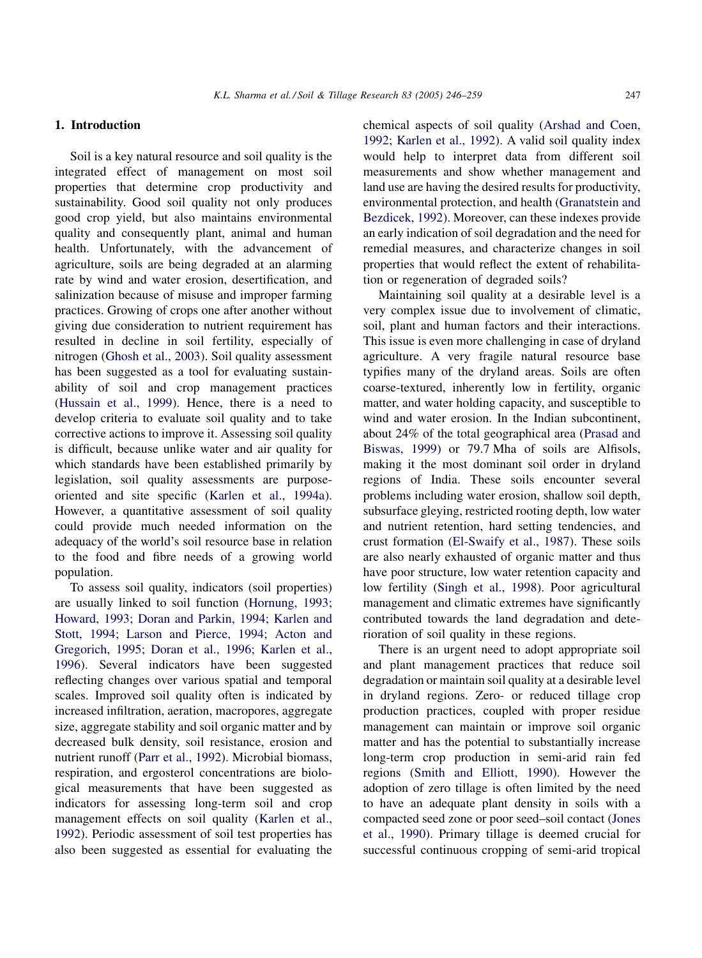## 1. Introduction

Soil is a key natural resource and soil quality is the integrated effect of management on most soil properties that determine crop productivity and sustainability. Good soil quality not only produces good crop yield, but also maintains environmental quality and consequently plant, animal and human health. Unfortunately, with the advancement of agriculture, soils are being degraded at an alarming rate by wind and water erosion, desertification, and salinization because of misuse and improper farming practices. Growing of crops one after another without giving due consideration to nutrient requirement has resulted in decline in soil fertility, especially of nitrogen ([Ghosh et al., 2003](#page--1-0)). Soil quality assessment has been suggested as a tool for evaluating sustainability of soil and crop management practices ([Hussain et al., 1999\)](#page--1-0). Hence, there is a need to develop criteria to evaluate soil quality and to take corrective actions to improve it. Assessing soil quality is difficult, because unlike water and air quality for which standards have been established primarily by legislation, soil quality assessments are purposeoriented and site specific [\(Karlen et al., 1994a\)](#page--1-0). However, a quantitative assessment of soil quality could provide much needed information on the adequacy of the world's soil resource base in relation to the food and fibre needs of a growing world population.

To assess soil quality, indicators (soil properties) are usually linked to soil function ([Hornung, 1993;](#page--1-0) [Howard, 1993; Doran and Parkin, 1994; Karlen and](#page--1-0) [Stott, 1994; Larson and Pierce, 1994; Acton and](#page--1-0) [Gregorich, 1995; Doran et al., 1996; Karlen et al.,](#page--1-0) [1996](#page--1-0)). Several indicators have been suggested reflecting changes over various spatial and temporal scales. Improved soil quality often is indicated by increased infiltration, aeration, macropores, aggregate size, aggregate stability and soil organic matter and by decreased bulk density, soil resistance, erosion and nutrient runoff [\(Parr et al., 1992\)](#page--1-0). Microbial biomass, respiration, and ergosterol concentrations are biological measurements that have been suggested as indicators for assessing long-term soil and crop management effects on soil quality ([Karlen et al.,](#page--1-0) [1992](#page--1-0)). Periodic assessment of soil test properties has also been suggested as essential for evaluating the

chemical aspects of soil quality ([Arshad and Coen,](#page--1-0) [1992; Karlen et al., 1992](#page--1-0)). A valid soil quality index would help to interpret data from different soil measurements and show whether management and land use are having the desired results for productivity, environmental protection, and health ([Granatstein and](#page--1-0) [Bezdicek, 1992\)](#page--1-0). Moreover, can these indexes provide an early indication of soil degradation and the need for remedial measures, and characterize changes in soil properties that would reflect the extent of rehabilitation or regeneration of degraded soils?

Maintaining soil quality at a desirable level is a very complex issue due to involvement of climatic, soil, plant and human factors and their interactions. This issue is even more challenging in case of dryland agriculture. A very fragile natural resource base typifies many of the dryland areas. Soils are often coarse-textured, inherently low in fertility, organic matter, and water holding capacity, and susceptible to wind and water erosion. In the Indian subcontinent, about 24% of the total geographical area ([Prasad and](#page--1-0) [Biswas, 1999\)](#page--1-0) or 79.7 Mha of soils are Alfisols, making it the most dominant soil order in dryland regions of India. These soils encounter several problems including water erosion, shallow soil depth, subsurface gleying, restricted rooting depth, low water and nutrient retention, hard setting tendencies, and crust formation ([El-Swaify et al., 1987\)](#page--1-0). These soils are also nearly exhausted of organic matter and thus have poor structure, low water retention capacity and low fertility [\(Singh et al., 1998](#page--1-0)). Poor agricultural management and climatic extremes have significantly contributed towards the land degradation and deterioration of soil quality in these regions.

There is an urgent need to adopt appropriate soil and plant management practices that reduce soil degradation or maintain soil quality at a desirable level in dryland regions. Zero- or reduced tillage crop production practices, coupled with proper residue management can maintain or improve soil organic matter and has the potential to substantially increase long-term crop production in semi-arid rain fed regions [\(Smith and Elliott, 1990](#page--1-0)). However the adoption of zero tillage is often limited by the need to have an adequate plant density in soils with a compacted seed zone or poor seed–soil contact ([Jones](#page--1-0) [et al., 1990](#page--1-0)). Primary tillage is deemed crucial for successful continuous cropping of semi-arid tropical